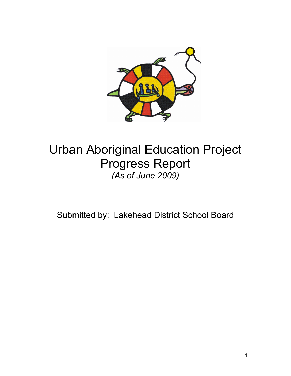

# Urban Aboriginal Education Project Progress Report *(As of June 2009)*

Submitted by: Lakehead District School Board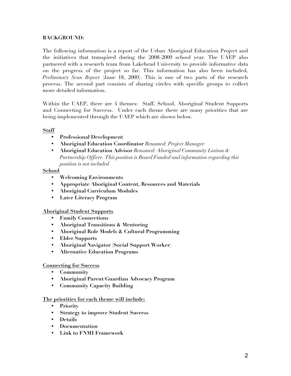# **BACKGROUND:**

The following information is a report of the Urban Aboriginal Education Project and the initiatives that transpired during the 2008-2009 school year. The UAEP also partnered with a research team from Lakehead University to provide informative data on the progress of the project so far. This information has also been included, *Preliminary Scan Report* (June 18, 2009). This is one of two parts of the research process. The second part consists of sharing circles with specific groups to collect more detailed information.

Within the UAEP, there are 4 themes: Staff, School, Aboriginal Student Supports and Connecting for Success. Under each theme there are many priorities that are being implemented through the UAEP which are shown below.

# **Staff**

- **Professional Development**
- **Aboriginal Education Coordinator** *Renamed: Project Manager*
- **Aboriginal Education Advisor** *Renamed: Aboriginal Community Liaison & Partnership Officer. This position is Board Funded and information regarding this position is not included*

# **School**

- **Welcoming Environments**
- **Appropriate Aboriginal Content, Resources and Materials**
- **Aboriginal Curriculum Modules**
- **Later Literacy Program**

# **Aboriginal Student Supports**

- **Family Connections**
- **Aboriginal Transitions & Mentoring**
- **Aboriginal Role Models & Cultural Programming**
- **Elder Supports**
- **Aboriginal Navigator (Social Support Worker)**
- **Alternative Education Programs**

# **Connecting for Success**

- **Community**
- **Aboriginal Parent/Guardian Advocacy Program**
- **Community Capacity Building**

# **The priorities for each theme will include:**

- **Priority**
- **Strategy to improve Student Success**
- **Details**
- **Documentation**
- **Link to FNMI Framework**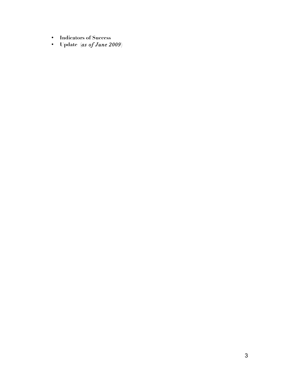- **Indicators of Success**
- **Update (***as of June 2009***)**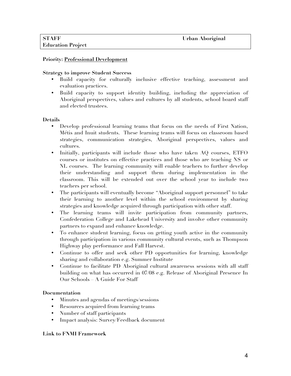## **Priority: Professional Development**

#### **Strategy to improve Student Success**

- Build capacity for culturally inclusive effective teaching, assessment and evaluation practices.
- Build capacity to support identity building, including the appreciation of Aboriginal perspectives, values and cultures by all students, school board staff and elected trustees.

#### **Details**

- Develop professional learning teams that focus on the needs of First Nation, Métis and Inuit students. These learning teams will focus on classroom based strategies, communication strategies, Aboriginal perspectives, values and cultures.
- Initially, participants will include those who have taken AQ courses, ETFO courses or institutes on effective practices and those who are teaching NS or NL courses. The learning community will enable teachers to further develop their understanding and support them during implementation in the classroom. This will be extended out over the school year to include two teachers per school.
- The participants will eventually become "Aboriginal support personnel" to take their learning to another level within the school environment by sharing strategies and knowledge acquired through participation with other staff.
- The learning teams will invite participation from community partners, Confederation College and Lakehead University and involve other community partners to expand and enhance knowledge.
- To enhance student learning, focus on getting youth active in the community through participation in various community cultural events, such as Thompson Highway play performance and Fall Harvest.
- Continue to offer and seek other PD opportunities for learning, knowledge sharing and collaboration e.g. Summer Institute
- Continue to facilitate PD Aboriginal cultural awareness sessions with all staff building on what has occurred in 07/08 e.g. Release of Aboriginal Presence In Our Schools – A Guide For Staff

# **Documentation**

- Minutes and agendas of meetings/sessions
- Resources acquired from learning teams
- Number of staff participants
- Impact analysis: Survey/Feedback document

# **Link to FNMI Framework**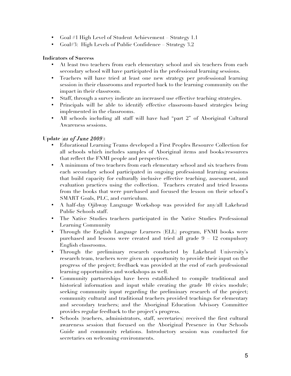- Goal #1 High Level of Student Achievement Strategy 1.1
- Goal#3: High Levels of Public Confidence Strategy 3.2

- At least two teachers from each elementary school and six teachers from each secondary school will have participated in the professional learning sessions.
- Teachers will have tried at least one new strategy per professional learning session in their classrooms and reported back to the learning community on the impact in their classroom.
- Staff, through a survey indicate an increased use effective teaching strategies.
- Principals will be able to identify effective classroom-based strategies being implemented in the classrooms.
- All schools including all staff will have had "part 2" of Aboriginal Cultural Awareness sessions.

# **Update (***as of June 2009***):**

- Educational Learning Teams developed a First Peoples Resource Collection for all schools which includes samples of Aboriginal items and books/resources that reflect the FNMI people and perspectives.
- A minimum of two teachers from each elementary school and six teachers from each secondary school participated in ongoing professional learning sessions that build capacity for culturally inclusive effective teaching, assessment, and evaluation practices using the collection. Teachers created and tried lessons from the books that were purchased and focused the lesson on their school's SMART Goals, PLC, and curriculum.
- A half-day Ojibway Language Workshop was provided for any/all Lakehead Public Schools staff.
- The Native Studies teachers participated in the Native Studies Professional Learning Community
- Through the English Language Learners (ELL) program, FNMI books were purchased and lessons were created and tried all grade 9 – 12 compulsory English classrooms.
- Through the preliminary research conducted by Lakehead University's research team, teachers were given an opportunity to provide their input on the progress of the project; feedback was provided at the end of each professional learning opportunities and workshops as well.
- Community partnerships have been established to compile traditional and historical information and input while creating the grade 10 civics module; seeking community input regarding the preliminary research of the project; community cultural and traditional teachers provided teachings for elementary and secondary teachers; and the Aboriginal Education Advisory Committee provides regular feedback to the project's progress.
- Schools (teachers, administrators, staff, secretaries) received the first cultural awareness session that focused on the Aboriginal Presence in Our Schools Guide and community relations. Introductory session was conducted for secretaries on welcoming environments.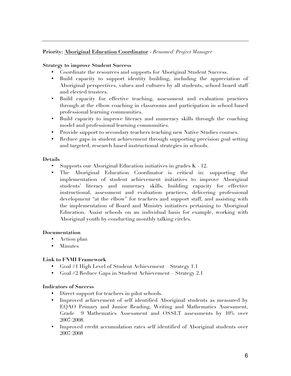# **Priority: Aboriginal Education Coordinator -** *Renamed: Project Manager*

## **Strategy to improve Student Success**

- Coordinate the resources and supports for Aboriginal Student Success.
- Build capacity to support identity building, including the appreciation of Aboriginal perspectives, values and cultures by all students, school board staff and elected trustees.
- Build capacity for effective teaching, assessment and evaluation practices through at the elbow coaching in classrooms and participation in school based professional learning communities.
- Build capacity to improve literacy and numeracy skills through the coaching model and professional learning communities.
- Provide support to secondary teachers teaching new Native Studies courses.
- Reduce gaps in student achievement through supporting precision goal setting and targeted, research based instructional strategies in schools.

#### **Details**

- Supports our Aboriginal Education initiatives in grades K 12.
- The Aboriginal Education Coordinator is critical in: supporting the implementation of student achievement initiatives to improve Aboriginal students' literacy and numeracy skills, building capacity for effective instructional, assessment and evaluation practices, delivering professional development "at the elbow" for teachers and support staff, and assisting with the implementation of Board and Ministry initiatives pertaining to Aboriginal Education. Assist schools on an individual basis for example, working with Aboriginal youth by conducting monthly talking circles.

# **Documentation**

- Action plan
- Minutes

# **Link to FNMI Framework**

- Goal #1 High Level of Student Achievement Strategy 1.1
- Goal #2 Reduce Gaps in Student Achievement Strategy 2.1

#### **Indicators of Success**

- Direct support for teachers in pilot schools.
- Improved achievement of self identified Aboriginal students as measured by EQAO Primary and Junior Reading, Writing and Mathematics Assessment, Grade 9 Mathematics Assessment and OSSLT assessments by 10% over 2007/2008.
- Improved credit accumulation rates self identified of Aboriginal students over 2007/2008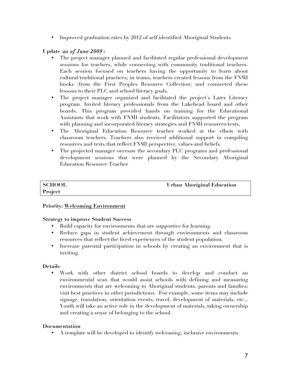• Improved graduation rates by 2012 of self identified Aboriginal Students

# **Update (***as of June 2009***):**

- The project manager planned and facilitated regular professional development sessions for teachers, while connecting with community traditional teachers. Each session focused on teachers having the opportunity to learn about cultural/traditional practices; in teams, teachers created lessons from the FNMI books (from the First Peoples Resource Collection) and connected these lessons to their PLC and school literacy goals.
- The project manager organized and facilitated the project's Later Literacy program. Invited literacy professionals from the Lakehead board and other boards. This program provided hands on training for the Educational Assistants that work with FNMI students. Facilitators supported the program with planning and incorporated literacy strategies and FNMI resources/texts.
- The Aboriginal Education Resource teacher worked at the elbow with classroom teachers. Teachers also received additional support in compiling resources and texts that reflect FNMI perspective, values and beliefs.
- The projected manager oversaw the secondary PLC programs and professional development sessions that were planned by the Secondary Aboriginal Education Resource Teacher

# **Project**

**SCHOOL** Urban Aboriginal Education

# **Priority: Welcoming Environment**

# **Strategy to improve Student Success**

- Build capacity for environments that are supportive for learning.
- Reduce gaps in student achievement through environments and classroom resources that reflect the lived experiences of the student population.
- Increase parental participation in schools by creating an environment that is inviting.

# **Details**

• Work with other district school boards to develop and conduct an environmental scan that would assist schools with defining and measuring environments that are welcoming to Aboriginal students, parents and families; visit best practices in other jurisdictions. For example, some items may include signage, translation, orientation events, travel, development of materials, etc... Youth will take an active role in the development of materials, taking ownership and creating a sense of belonging to the school.

# **Documentation**

• A template will be developed to identify welcoming, inclusive environments.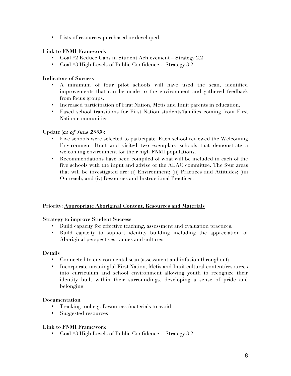• Lists of resources purchased or developed.

# **Link to FNMI Framework**

- Goal #2 Reduce Gaps in Student Achievement Strategy 2.2
- Goal #3 High Levels of Public Confidence Strategy 3.2

# **Indicators of Success**

- A minimum of four pilot schools will have used the scan, identified improvements that can be made to the environment and gathered feedback from focus groups.
- Increased participation of First Nation, Métis and Inuit parents in education.
- Eased school transitions for First Nation students/families coming from First Nation communities.

# **Update (***as of June 2009***):**

- Five schools were selected to participate. Each school reviewed the Welcoming Environment Draft and visited two exemplary schools that demonstrate a welcoming environment for their high FNMI populations.
- Recommendations have been compiled of what will be included in each of the five schools with the input and advise of the AEAC committee. The four areas that will be investigated are: (i) Environment; (ii) Practices and Attitudes; (iii) Outreach; and (iv) Resources and Instructional Practices.

# **Priority: Appropriate Aboriginal Content, Resources and Materials**

#### **Strategy to improve Student Success**

- Build capacity for effective teaching, assessment and evaluation practices.
- Build capacity to support identity building including the appreciation of Aboriginal perspectives, values and cultures.

# **Details**

- Connected to environmental scan (assessment and infusion throughout).
- Incorporate meaningful First Nation, Métis and Inuit cultural content/resources into curriculum and school environment allowing youth to recognize their identity built within their surroundings, developing a sense of pride and belonging.

# **Documentation**

- Tracking tool e.g. Resources /materials to avoid
- Suggested resources

# **Link to FNMI Framework**

• Goal #3 High Levels of Public Confidence - Strategy 3.2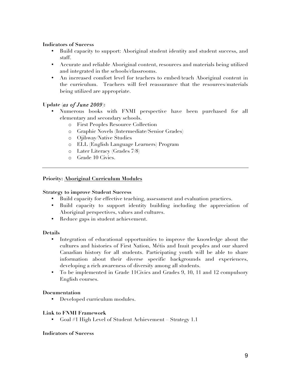- Build capacity to support: Aboriginal student identity and student success, and staff.
- Accurate and reliable Aboriginal content, resources and materials being utilized and integrated in the schools/classrooms.
- An increased comfort level for teachers to embed/teach Aboriginal content in the curriculum. Teachers will feel reassurance that the resources/materials being utilized are appropriate.

# **Update (***as of June 2009***):**

- Numerous books with FNMI perspective have been purchased for all elementary and secondary schools.
	- o First Peoples Resource Collection
	- o Graphic Novels (Intermediate/Senior Grades)
	- o Ojibway/Native Studies
	- o ELL (English Language Learners) Program
	- o Later Literacy (Grades 7/8)
	- o Grade 10 Civics.

#### **Priority: Aboriginal Curriculum Modules**

#### **Strategy to improve Student Success**

- Build capacity for effective teaching, assessment and evaluation practices.
- Build capacity to support identity building including the appreciation of Aboriginal perspectives, values and cultures.
- Reduce gaps in student achievement.

#### **Details**

- Integration of educational opportunities to improve the knowledge about the cultures and histories of First Nation, Métis and Inuit peoples and our shared Canadian history for all students. Participating youth will be able to share information about their diverse specific backgrounds and experiences, developing a rich awareness of diversity among all students.
- To be implemented in Grade 11Civics and Grades 9, 10, 11 and 12 compulsory English courses.

#### **Documentation**

• Developed curriculum modules.

#### **Link to FNMI Framework**

• Goal #1 High Level of Student Achievement – Strategy 1.1

#### **Indicators of Success**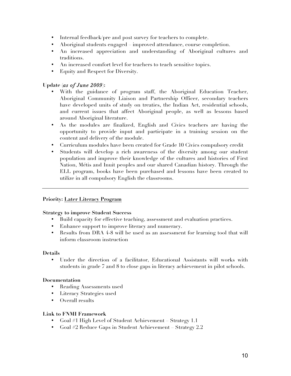- Internal feedback/pre and post survey for teachers to complete.
- Aboriginal students engaged improved attendance, course completion.
- An increased appreciation and understanding of Aboriginal cultures and traditions.
- An increased comfort level for teachers to teach sensitive topics.
- Equity and Respect for Diversity.

# **Update (***as of June 2009***):**

- With the guidance of program staff, the Aboriginal Education Teacher, Aboriginal Community Liaison and Partnership Officer, secondary teachers have developed units of study on treaties, the Indian Act, residential schools, and current issues that affect Aboriginal people, as well as lessons based around Aboriginal literature.
- As the modules are finalized, English and Civics teachers are having the opportunity to provide input and participate in a training session on the content and delivery of the module.
- Curriculum modules have been created for Grade 10 Civics compulsory credit
- Students will develop a rich awareness of the diversity among our student population and improve their knowledge of the cultures and histories of First Nation, Métis and Inuit peoples and our shared Canadian history. Through the ELL program, books have been purchased and lessons have been created to utilize in all compulsory English the classrooms.

# **Priority: Later Literacy Program**

# **Strategy to improve Student Success**

- Build capacity for effective teaching, assessment and evaluation practices.
- Enhance support to improve literacy and numeracy.
- Results from DRA 4-8 will be used as an assessment for learning tool that will inform classroom instruction

# **Details**

• Under the direction of a facilitator, Educational Assistants will works with students in grade 7 and 8 to close gaps in literacy achievement in pilot schools.

# **Documentation**

- Reading Assessments used
- Literacy Strategies used
- Overall results

# **Link to FNMI Framework**

- Goal #1 High Level of Student Achievement Strategy 1.1
- Goal #2 Reduce Gaps in Student Achievement Strategy 2.2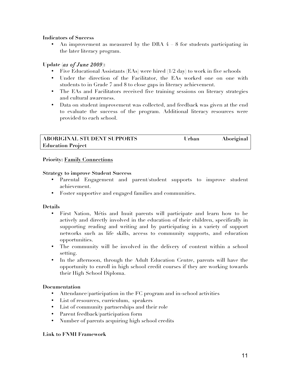• An improvement as measured by the DRA 4 – 8 for students participating in the later literacy program.

# **Update (***as of June 2009***):**

- Five Educational Assistants (EAs) were hired (1/2 day) to work in five schools
- Under the direction of the Facilitator, the EAs worked one on one with students to in Grade 7 and 8 to close gaps in literacy achievement.
- The EAs and Facilitators received five training sessions on literacy strategies and cultural awareness.
- Data on student improvement was collected, and feedback was given at the end to evaluate the success of the program. Additional literacy resources were provided to each school.

| <b>ABORIGINAL STUDENT SUPPORTS</b> | Urban | Aboriginal |
|------------------------------------|-------|------------|
| <b>Education Project</b>           |       |            |

# **Priority: Family Connections**

# **Strategy to improve Student Success**

- Parental Engagement and parent/student supports to improve student achievement.
- Foster supportive and engaged families and communities.

# **Details**

- First Nation, Métis and Inuit parents will participate and learn how to be actively and directly involved in the education of their children, specifically in supporting reading and writing and by participating in a variety of support networks such as life skills, access to community supports, and education opportunities.
- The community will be involved in the delivery of content within a school setting.
- In the afternoon, through the Adult Education Centre, parents will have the opportunity to enroll in high school credit courses if they are working towards their High School Diploma.

# **Documentation**

- Attendance/participation in the FC program and in-school activities
- List of resources, curriculum, speakers
- List of community partnerships and their role
- Parent feedback/participation form
- Number of parents acquiring high school credits

# **Link to FNMI Framework**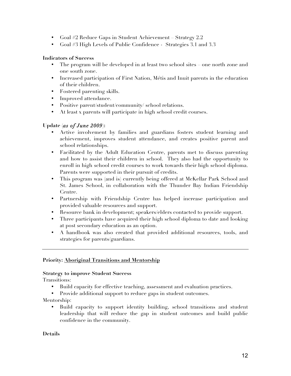- Goal #2 Reduce Gaps in Student Achievement Strategy 2.2
- Goal #3 High Levels of Public Confidence Strategies 3.1 and 3.3

- The program will be developed in at least two school sites one north zone and one south zone.
- Increased participation of First Nation, Métis and Inuit parents in the education of their children.
- Fostered parenting skills.
- Improved attendance.
- Positive parent/student/community/ school relations.
- At least x parents will participate in high school credit courses.

# **Update (***as of June 2009***):**

- Active involvement by families and guardians fosters student learning and achievement, improves student attendance, and creates positive parent and school relationships.
- Facilitated by the Adult Education Centre, parents met to discuss parenting and how to assist their children in school. They also had the opportunity to enroll in high school credit courses to work towards their high school diploma. Parents were supported in their pursuit of credits.
- This program was (and is) currently being offered at McKellar Park School and St. James School, in collaboration with the Thunder Bay Indian Friendship Centre.
- Partnership with Friendship Centre has helped increase participation and provided valuable resources and support.
- Resource bank in development; speakers/elders contacted to provide support.
- Three participants have acquired their high school diploma to date and looking at post secondary education as an option.
- A handbook was also created that provided additional resources, tools, and strategies for parents/guardians.

# **Priority: Aboriginal Transitions and Mentorship**

#### **Strategy to improve Student Success**

Transitions:

- Build capacity for effective teaching, assessment and evaluation practices.
- Provide additional support to reduce gaps in student outcomes.

Mentorship:

• Build capacity to support identity building, school transitions and student leadership that will reduce the gap in student outcomes and build public confidence in the community.

# **Details**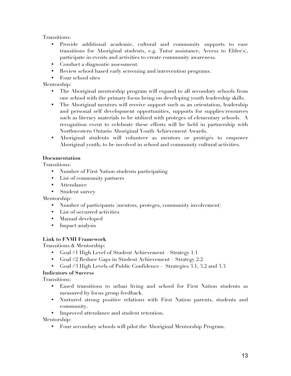Transitions:

- Provide additional academic, cultural and community supports to ease transitions for Aboriginal students, e.g. Tutor assistance, Access to Elder(s), participate in events and activities to create community awareness.
- Conduct a diagnostic assessment.
- Review school based early screening and intervention programs.
- Four school sites

Mentorship:

- The Aboriginal mentorship program will expand to all secondary schools from one school with the primary focus being on developing youth leadership skills.
- The Aboriginal mentors will receive support such as an orientation, leadership and personal self development opportunities, supports for supplies/resources such as literacy materials to be utilized with proteges of elementary schools. A recognition event to celebrate these efforts will be held in partnership with Northwestern Ontario Aboriginal Youth Achievement Awards.
- Aboriginal students will volunteer as mentors or protégés to empower Aboriginal youth, to be involved in school and community cultural activities.

# **Documentation**

Transitions:

- Number of First Nation students participating
- List of community partners
- Attendance
- Student survey

Mentorship:

- Number of participants (mentors, proteges, community involvement)
- List of occurred activities
- Manual developed
- Impact analysis

# **Link to FNMI Framework**

Transitions & Mentorship:

- Goal #1 High Level of Student Achievement Strategy 1.1
- Goal #2 Reduce Gaps in Student Achievement Strategy 2.2
- Goal #3 High Levels of Public Confidence Strategies 3.1, 3.2 and 3.3

**Indicators of Success**

Transitions:

- Eased transitions to urban living and school for First Nation students as measured by focus group feedback.
- Nurtured strong positive relations with First Nation parents, students and community.

• Improved attendance and student retention.

Mentorship:

• Four secondary schools will pilot the Aboriginal Mentorship Program.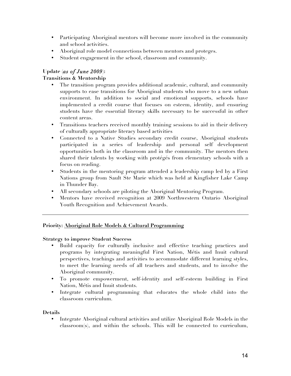- Participating Aboriginal mentors will become more involved in the community and school activities.
- Aboriginal role model connections between mentors and proteges.
- Student engagement in the school, classroom and community.

# **Update (***as of June 2009***):**

# **Transitions & Mentorship**

- The transition program provides additional academic, cultural, and community supports to ease transitions for Aboriginal students who move to a new urban environment. In addition to social and emotional supports, schools have implemented a credit course that focuses on esteem, identity, and ensuring students have the essential literacy skills necessary to be successful in other content areas.
- Transitions teachers received monthly training sessions to aid in their delivery of culturally appropriate literacy based activities
- Connected to a Native Studies secondary credit course, Aboriginal students participated in a series of leadership and personal self development opportunities both in the classroom and in the community. The mentors then shared their talents by working with protégés from elementary schools with a focus on reading.
- Students in the mentoring program attended a leadership camp led by a First Nations group from Sault Ste Marie which was held at Kingfisher Lake Camp in Thunder Bay.
- All secondary schools are piloting the Aboriginal Mentoring Program.
- Mentors have received recognition at 2009 Northwestern Ontario Aboriginal Youth Recognition and Achievement Awards.

# **Priority: Aboriginal Role Models & Cultural Programming**

#### **Strategy to improve Student Success**

- Build capacity for culturally inclusive and effective teaching practices and programs by integrating meaningful First Nation, Métis and Inuit cultural perspectives, teachings and activities to accommodate different learning styles, to meet the learning needs of all teachers and students, and to involve the Aboriginal community.
- To promote empowerment, self-identity and self-esteem building in First Nation, Métis and Inuit students.
- Integrate cultural programming that educates the whole child into the classroom curriculum.

#### **Details**

• Integrate Aboriginal cultural activities and utilize Aboriginal Role Models in the classroom(s), and within the schools. This will be connected to curriculum,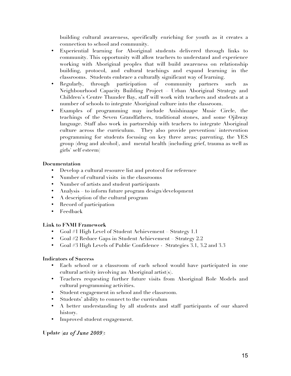building cultural awareness, specifically enriching for youth as it creates a connection to school and community.

- Experiential learning for Aboriginal students delivered through links to community. This opportunity will allow teachers to understand and experience working with Aboriginal peoples that will build awareness on relationship building, protocol, and cultural teachings and expand learning in the classrooms. Students embrace a culturally significant way of learning.
- Regularly, through participation of community partners such as Neighbourhood Capacity Building Project – Urban Aboriginal Strategy and Children's Centre Thunder Bay, staff will work with teachers and students at a number of schools to integrate Aboriginal culture into the classroom.
- Examples of programming may include Anishinaape Music Circle, the teachings of the Seven Grandfathers, traditional stones, and some Ojibway language. Staff also work in partnership with teachers to integrate Aboriginal culture across the curriculum. They also provide prevention/ intervention programming for students focusing on key three areas; parenting, the YES group (drug and alcohol), and mental health (including grief, trauma as well as girls' self esteem)

# **Documentation**

- Develop a cultural resource list and protocol for reference
- Number of cultural visits in the classrooms
- Number of artists and student participants
- Analysis to inform future program design/development
- A description of the cultural program
- Record of participation
- Feedback

# **Link to FNMI Framework**

- Goal #1 High Level of Student Achievement Strategy 1.1
- Goal #2 Reduce Gaps in Student Achievement Strategy 2.2
- Goal #3 High Levels of Public Confidence Strategies 3.1, 3.2 and 3.3

# **Indicators of Success**

- Each school or a classroom of each school would have participated in one cultural activity involving an Aboriginal artist(s).
- Teachers requesting further future visits from Aboriginal Role Models and cultural programming activities.
- Student engagement in school and the classroom.
- Students' ability to connect to the curriculum
- A better understanding by all students and staff participants of our shared history.
- Improved student engagement.

# **Update (***as of June 2009***):**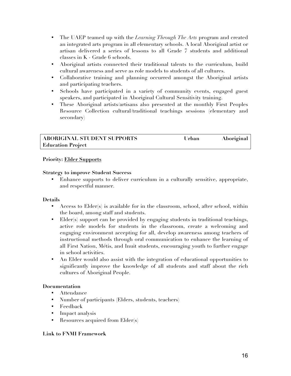- The UAEP teamed up with the *Learning Through The Arts* program and created an integrated arts program in all elementary schools. A local Aboriginal artist or artisan delivered a series of lessons to all Grade 7 students and additional classes in K - Grade 6 schools.
- Aboriginal artists connected their traditional talents to the curriculum, build cultural awareness and serve as role models to students of all cultures.
- Collaborative training and planning occurred amongst the Aboriginal artists and participating teachers.
- Schools have participated in a variety of community events, engaged guest speakers, and participated in Aboriginal Cultural Sensitivity training.
- These Aboriginal artists/artisans also presented at the monthly First Peoples Resource Collection cultural/traditional teachings sessions (elementary and secondary)

| <b>ABORIGINAL STUDENT SUPPORTS</b> | Urban | <b>Aboriginal</b> |
|------------------------------------|-------|-------------------|
| <b>Education Project</b>           |       |                   |

# **Priority: Elder Supports**

# **Strategy to improve Student Success**

• Enhance supports to deliver curriculum in a culturally sensitive, appropriate, and respectful manner.

# **Details**

- Access to Elder(s) is available for in the classroom, school, after school, within the board, among staff and students.
- Elder(s) support can be provided by engaging students in traditional teachings, active role models for students in the classroom, create a welcoming and engaging environment accepting for all, develop awareness among teachers of instructional methods through oral communication to enhance the learning of all First Nation, Métis, and Inuit students, encouraging youth to further engage in school activities.
- An Elder would also assist with the integration of educational opportunities to significantly improve the knowledge of all students and staff about the rich cultures of Aboriginal People.

# **Documentation**

- Attendance
- Number of participants (Elders, students, teachers)
- Feedback
- Impact analysis
- Resources acquired from Elder(s)

# **Link to FNMI Framework**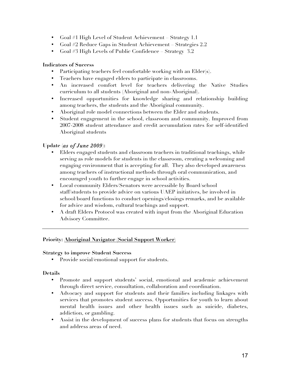- Goal #1 High Level of Student Achievement Strategy 1.1
- Goal #2 Reduce Gaps in Student Achievement Strategies 2.2
- Goal #3 High Levels of Public Confidence Strategy 3.2

- Participating teachers feel comfortable working with an Elder(s).
- Teachers have engaged elders to participate in classrooms.
- An increased comfort level for teachers delivering the Native Studies curriculum to all students (Aboriginal and non-Aboriginal).
- Increased opportunities for knowledge sharing and relationship building among teachers, the students and the Aboriginal community.
- Aboriginal role model connections between the Elder and students.
- Student engagement in the school, classroom and community. Improved from 2007-2008 student attendance and credit accumulation rates for self-identified Aboriginal students

# **Update (***as of June 2009***):**

- Elders engaged students and classroom teachers in traditional teachings, while serving as role models for students in the classroom, creating a welcoming and engaging environment that is accepting for all. They also developed awareness among teachers of instructional methods through oral communication, and encouraged youth to further engage in school activities.
- Local community Elders/Senators were accessible by Board/school staff/students to provide advice on various UAEP initiatives, be involved in school/board functions to conduct openings/closings remarks, and be available for advice and wisdom, cultural teachings and support.
- A draft Elders Protocol was created with input from the Aboriginal Education Advisory Committee.

# **Priority: Aboriginal Navigator (Social Support Worker)**

#### **Strategy to improve Student Success**

• Provide social/emotional support for students.

# **Details**

- Promote and support students' social, emotional and academic achievement through direct service, consultation, collaboration and coordination.
- Advocacy and support for students and their families including linkages with services that promotes student success. Opportunities for youth to learn about mental health issues and other health issues such as suicide, diabetes, addiction, or gambling.
- Assist in the development of success plans for students that focus on strengths and address areas of need.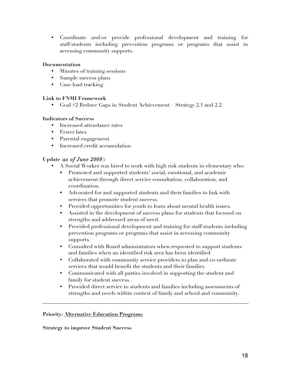• Coordinate and/or provide professional development and training for staff/students including prevention programs or programs that assist in accessing community supports.

# **Documentation**

- Minutes of training sessions
- Sample success plans
- Case load tracking

# **Link to FNMI Framework**

• Goal #2 Reduce Gaps in Student Achievement – Strategy 2.1 and 2.2

# **Indicators of Success**

- Increased attendance rates
- Fewer lates
- Parental engagement
- Increased credit accumulation

# **Update (***as of June 2009***):**

- A Social Worker was hired to work with high risk students in elementary who:
	- Promoted and supported students' social, emotional, and academic achievement through direct service consultation, collaboration, and coordination.
	- Advocated for and supported students and their families to link with services that promote student success.
	- Provided opportunities for youth to learn about mental health issues.
	- Assisted in the development of success plans for students that focused on strengths and addressed areas of need.
	- Provided professional development and training for staff/students including prevention programs or programs that assist in accessing community supports.
	- Consulted with Board administrators when requested to support students and families when an identified risk area has been identified
	- Collaborated with community service providers to plan and co-ordinate services that would benefit the students and their families
	- Communicated with all parties involved in supporting the student and family for student success.
	- Provided direct service to students and families including assessments of strengths and needs within context of family and school and community.

# **Priority: Alternative Education Programs**

# **Strategy to improve Student Success**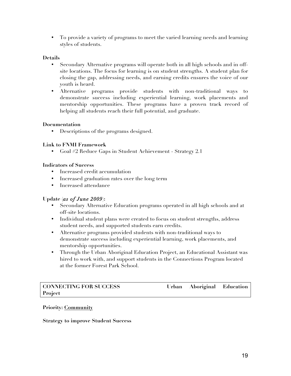• To provide a variety of programs to meet the varied learning needs and learning styles of students.

# **Details**

- Secondary Alternative programs will operate both in all high schools and in offsite locations. The focus for learning is on student strengths. A student plan for closing the gap, addressing needs, and earning credits ensures the voice of our youth is heard.
- Alternative programs provide students with non-traditional ways to demonstrate success including experiential learning, work placements and mentorship opportunities. These programs have a proven track record of helping all students reach their full potential, and graduate.

# **Documentation**

• Descriptions of the programs designed.

# **Link to FNMI Framework**

• Goal #2 Reduce Gaps in Student Achievement - Strategy 2.1

# **Indicators of Success**

- Increased credit accumulation
- Increased graduation rates over the long term
- Increased attendance

# **Update (***as of June 2009***):**

- Secondary Alternative Education programs operated in all high schools and at off-site locations.
- Individual student plans were created to focus on student strengths, address student needs, and supported students earn credits.
- Alternative programs provided students with non-traditional ways to demonstrate success including experiential learning, work placements, and mentorship opportunities.
- Through the Urban Aboriginal Education Project, an Educational Assistant was hired to work with, and support students in the Connections Program located at the former Forest Park School.

# **Project**

**CONNECTING FOR SUCCESS Urban Aboriginal Education** 

# **Priority: Community**

# **Strategy to improve Student Success**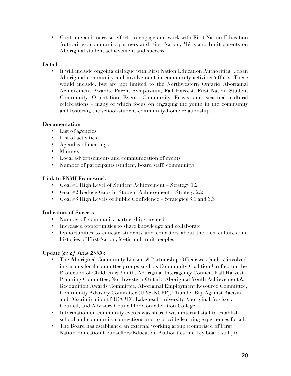• Continue and increase efforts to engage and work with First Nation Education Authorities, community partners and First Nation, Métis and Inuit parents on Aboriginal student achievement and success.

# **Details**

• It will include ongoing dialogue with First Nation Education Authorities, Urban Aboriginal community and involvement in community activities/efforts. These would include, but are not limited to the Northwestern Ontario Aboriginal Achievement Awards, Parent Symposium, Fall Harvest, First Nation Student Community Orientation Event, Community Feasts and seasonal cultural celebrations – many of which focus on engaging the youth in the community and fostering the school-student-community-home relationship.

# **Documentation**

- List of agencies
- List of activities
- Agendas of meetings
- Minutes
- Local advertisements and communication of events
- Number of participants (student, board staff, community)

# **Link to FNMI Framework**

- Goal #1 High Level of Student Achievement Strategy 1.2
- Goal #2 Reduce Gaps in Student Achievement Strategy 2.2
- Goal #3 High Levels of Public Confidence Strategies 3.1 and 3.3

# **Indicators of Success**

- Number of community partnerships created
- Increased opportunities to share knowledge and collaborate
- Opportunities to educate students and educators about the rich cultures and histories of First Nation, Métis and Inuit peoples

# **Update (***as of June 2009***):**

- The Aboriginal Community Liaison & Partnership Officer was (and is) involved in various local committee groups such as Community Coalition Unified for the Protection of Children & Youth, Aboriginal Interagency Council, Fall Harvest Planning Committee, Northwestern Ontario Aboriginal Youth Achievement & Recognition Awards Committee, Aboriginal Employment Resource Committee, Community Advisory Committee (UAS-NCBP), Thunder Bay Against Racism and Discrimination (TBCARD), Lakehead University Aboriginal Advisory Council, and Advisory Council for Confederation College.
- Information on community events was shared with internal staff to establish school and community connections and to provide learning experiences for all.
- The Board has established an external working group (comprised of First Nation Education Counsellors/Education Authorities and key board staff) to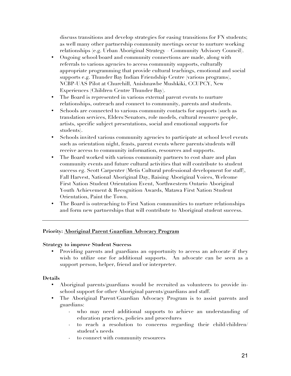discuss transitions and develop strategies for easing transitions for FN students; as well many other partnership community meetings occur to nurture working relationships (e.g. Urban Aboriginal Strategy – Community Advisory Council).

- Ongoing school/board and community connections are made, along with referrals to various agencies to access community supports, culturally appropriate programming that provide cultural teachings, emotional and social supports e.g. Thunder Bay Indian Friendship Centre (various programs), NCBP-UAS Pilot at Churchill, Anishnawbe Mushkiki, CCUPCY, New Experiences (Children Centre Thunder Bay).
- The Board is represented in various external parent events to nurture relationships, outreach and connect to community, parents and students.
- Schools are connected to various community contacts for supports (such as translation services, Elders/Senators, role models, cultural resource people, artists, specific subject presentations, social and emotional supports for students).
- Schools invited various community agencies to participate at school level events such as orientation night, feasts, parent events where parents/students will receive access to community information, resources and supports.
- The Board worked with various community partners to cost share and plan community events and future cultural activities that will contribute to student success eg. Scott Carpenter (Metis Cultural professional development for staff), Fall Harvest, National Aboriginal Day, Raising Aboriginal Voices, Welcome First Nation Student Orientation Event, Northwestern Ontario Aboriginal Youth Achievement & Recognition Awards, Matawa First Nation Student Orientation, Paint the Town.
- The Board is outreaching to First Nation communities to nurture relationships and form new partnerships that will contribute to Aboriginal student success.

# **Priority: Aboriginal Parent Guardian Advocacy Program**

# **Strategy to improve Student Success**

• Providing parents and guardians an opportunity to access an advocate if they wish to utilize one for additional supports. An advocate can be seen as a support person, helper, friend and/or interpreter.

# **Details**

- Aboriginal parents/guardians would be recruited as volunteers to provide inschool support for other Aboriginal parents/guardians and staff.
- The Aboriginal Parent/Guardian Advocacy Program is to assist parents and guardians:
	- who may need additional supports to achieve an understanding of education practices, policies and procedures
	- to reach a resolution to concerns regarding their child/children/ student's needs
	- to connect with community resources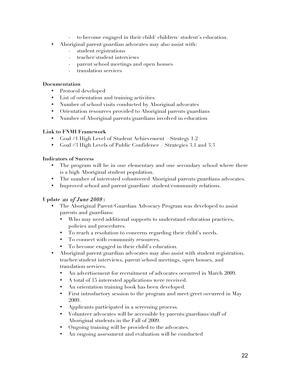- to become engaged in their child/ children/ student's education.
- Aboriginal parent/guardian advocates may also assist with:
	- student registrations
	- teacher/student interviews
	- parent/school meetings and open houses
	- translation services

## **Documentation**

- Protocol developed
- List of orientation and training activities
- Number of school visits conducted by Aboriginal advocates
- Orientation resources provided to Aboriginal parents/guardians
- Number of Aboriginal parents/guardians involved in education

# **Link to FNMI Framework**

- Goal #1 High Level of Student Achievement Strategy 1.2
- Goal #3 High Levels of Public Confidence Strategies 3.1 and 3.3

# **Indicators of Success**

- The program will be in one elementary and one secondary school where there is a high Aboriginal student population.
- The number of interested volunteered Aboriginal parents/guardians advocates.
- Improved school and parent/guardian/student/community relations.

# **Update (***as of June 2009***):**

- The Aboriginal Parent/Guardian Advocacy Program was developed to assist parents and guardians:
	- Who may need additional supports to understand education practices, policies and procedures.
	- To reach a resolution to concerns regarding their child's needs.
	- To connect with community resources.
	- To become engaged in their child's education.
- Aboriginal parent/guardian advocates may also assist with student registration, teacher/student interviews, parent/school meetings, open houses, and translation services.
	- An advertisement for recruitment of advocates occurred in March 2009.
	- A total of 15 interested applications were received.
	- An orientation training book has been developed.
	- First introductory session to the program and meet/greet occurred in May 2009.
	- Applicants participated in a screening process.
	- Volunteer advocates will be accessible by parents/guardians/staff of Aboriginal students in the Fall of 2009.
	- Ongoing training will be provided to the advocates.
	- An ongoing assessment and evaluation will be conducted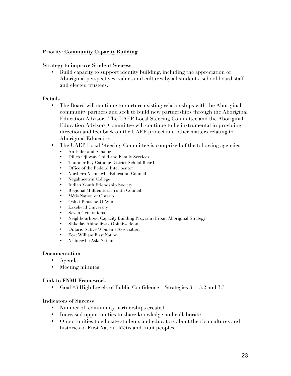# **Priority: Community Capacity Building**

#### **Strategy to improve Student Success**

• Build capacity to support identity building, including the appreciation of Aboriginal perspectives, values and cultures by all students, school board staff and elected trustees.

#### **Details**

- The Board will continue to nurture existing relationships with the Aboriginal community partners and seek to build new partnerships through the Aboriginal Education Advisor. The UAEP Local Steering Committee and the Aboriginal Education Advisory Committee will continue to be instrumental in providing direction and feedback on the UAEP project and other matters relating to Aboriginal Education.
- The UAEP Local Steering Committee is comprised of the following agencies:
	- An Elder and Senator
	- Dilico Ojibway Child and Family Services
	- Thunder Bay Catholic District School Board
	- Office of the Federal Interlocutor
	- Northern Nishnawbe Education Council
	- Negahneewin College
	- Indian Youth Friendship Society
	- Regional Multicultural Youth Council
	- Métis Nation of Ontario
	- Oshki-Pimache-O-Win
	- Lakehead University
	- Seven Generations
	- Neighbourhood Capacity Building Program (Urban Aboriginal Strategy)
	- Shkoday Abinojiiwak Obimiwedoon
	- Ontario Native Women's Association
	- Fort William First Nation
	- Nishnawbe Aski Nation

#### **Documentation**

- Agenda
- Meeting minutes

# **Link to FNMI Framework**

• Goal #3 High Levels of Public Confidence – Strategies 3.1, 3.2 and 3.3

#### **Indicators of Success**

- Number of community partnerships created
- Increased opportunities to share knowledge and collaborate
- Opportunities to educate students and educators about the rich cultures and histories of First Nation, Métis and Inuit peoples